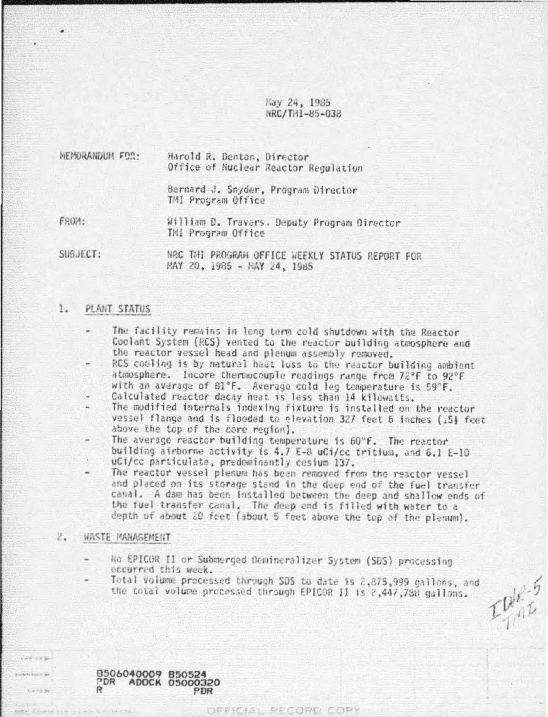Nav 24, 1985 NRC/THI-85-038

| MEMORANDUM FOR: | Harold R. Denton, Director<br>Office of Nuclear Reactor Regulation |
|-----------------|--------------------------------------------------------------------|
|                 | Bernard J. Snyder, Program Director<br>TMI Program Office          |
| FROM:           | William D. Travers. Deputy Program Director<br>THI Program Office  |
| SUBJECT:        | NRC THI PROGRAM OFFICE WEEKLY STATUS REPORT FOR                    |

MAY 20, 1985 - MAY 24, 1985

## PLANT STATUS 1.

- The facility remains in long term cold shutdown with the Reactor Coolant System (RCS) vented to the reactor building atmosphere and the reactor vessel head and plenum assembly removed.
- RCS cooling is by natural heat luss to the reactor building ambient atmosphere. Incore thermocouple readings range from 72°F to 92°F with an average of 81°F. Average cold leg temperature is 59°F.<br>Calculated reactor decay heat is less than 14 kilowatts.
- The modified internals indexing fixture is installed on the reactor vessel flange and is flooded to elevation 327 feet 6 inches (15} feet above the top of the core region).
- The average reactor building temperature is 60°F. The reactor building airborne activity is 4.7 E-8 uCi/cc tritium, and 6.1 E-10 uCi/cc particulate, predominantly cesium 137.
- The reactor vessel plenum has been removed from the reactor vessel and placed on its storage stand in the deep end of the fuel transfer canal. A dam has been installed between the deep and shallow ends of the fuel transfer canal. The deep end is filled with water to a depth of about 20 feet (about 5 feet above the top of the plenum).

### $2.$ WASTE MANAGEMENT

**LINKIERTH** 

**WALFERT W** GATE 36

- No EPICOR II or Submerged Denineralizer System (SDS) processing eccurred this week.
- Total volume processed through SDS to date is 2,875,999 gallons, and the total volume processed through EPICOR II is 2,447,788 gallons.

OFFICIAL RECORD COPY

 $L_{\text{full}}^{\text{DL-5}}$ 

8506040009 850524<br>PDR ADOCK 05000320 PDR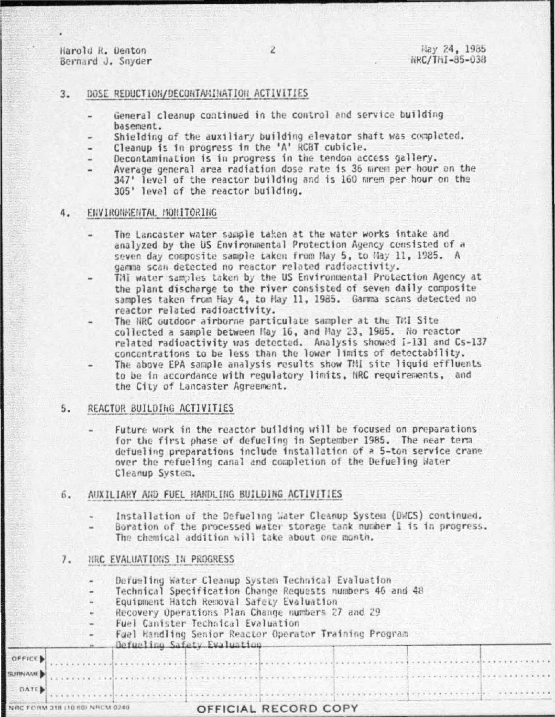Harold R. Denton Bernard J. Snyder

 $7678378988888$ 

- DOSE REDUCTION/DECONTAKINATION ACTIVITIES  $\overline{3}$ 
	- General cleanup continued in the control and service building basement.
	- Shielding of the auxiliary building elevator shaft was completed.
	- Cleanup is in progress in the 'A' RCBT cubicle.
	- Decontamination is in progress in the tendon access gallery.
	- Average general area radiation dose rate is 36 mrem per hour on the 347' level of the reactor building and is 160 mrem per hour on the 305' level of the reactor building.

### ENVIRONMENTAL MONITORING 4.

- The Lancaster water sample taken at the water works intake and analyzed by the US Environmental Protection Agency consisted of a seven day composite sample taken from May 5, to May 11, 1985. A gamma scan detected no reactor related radioactivity.
- THI water samples taken by the US Environmental Protection Agency at the plant discharge to the river consisted of seven daily composite samples taken from May 4, to May 11, 1985. Gamma scans detected no reactor related radioactivity.
	- The NRC outdoor airborne particulate sampler at the TRI Site collected a sample between May 16, and May 23, 1985. No reactor related radioactivity was detected. Analysis showed I-131 and Cs-137 concentrations to be less than the lower limits of detectability.
- The above EPA sample analysis results show TMI site liquid effluents to be in accordance with requlatory limits, NRC requirements, and the City of Lancaster Agreement.

### $5.$ REACTOR BUILDING ACTIVITIES

Future work in the reactor building will be focused on preparations for the first phase of defueling in September 1985. The near term defueling preparations include installation of a 5-ton service crane over the refueling canal and completion of the Defueling Water Cleanup System.

## AUXILIARY AND FUEL HANDLING BUILDING ACTIVITIES б.

- Installation of the Defueling Water Cleanup System (DWCS) continued.
- Boration of the processed water storage tank number 1 is in progress. The chemical addition will take about one month.

#### $7.$ NRC EVALUATIONS IN PROGRESS

OFF

NAC<sup>1</sup>

- Defueling Water Cleanup System Technical Evaluation
- Technical Specification Change Requests numbers 46 and 48
- Equipment Hatch Removal Safety Evaluation
- Recovery Operations Plan Change numbers 27 and 29
- Fuel Canister Technical Evaluation
	- Fuel Handling Senior Reactor Operator Training Program

| <b>CED</b> |  |  |
|------------|--|--|
|            |  |  |

| NRC FORM 318 (10-60) NRCM 0240 | OFFICIAL RECORD COPY |  |
|--------------------------------|----------------------|--|
| DATE.                          |                      |  |
| <b>NJPINAME</b>                |                      |  |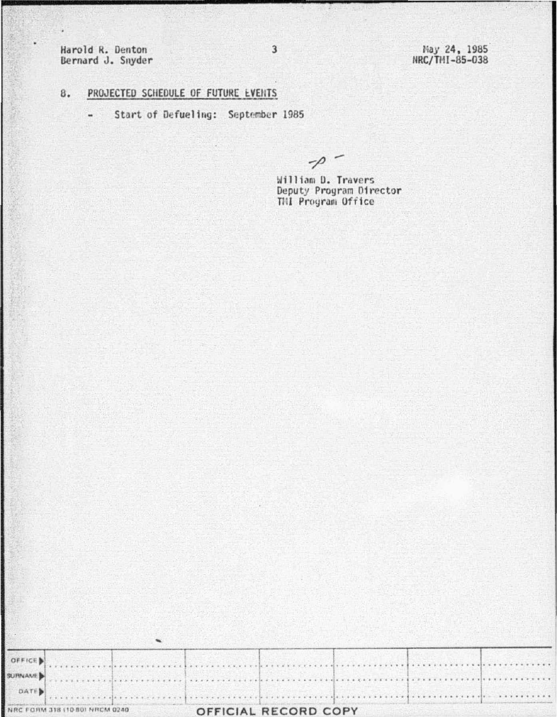Harold R. Denton Bernard J. Snyder

¥

May 24, 1985<br>NRC/TMI-85-038

# PROJECTED SCHEDULE OF FUTURE EVENTS 8.

Start of Defueling: September 1985  $\blacksquare$ 

 $-\rho$ 

William D. Travers Deputy Program Director<br>TMI Program Office